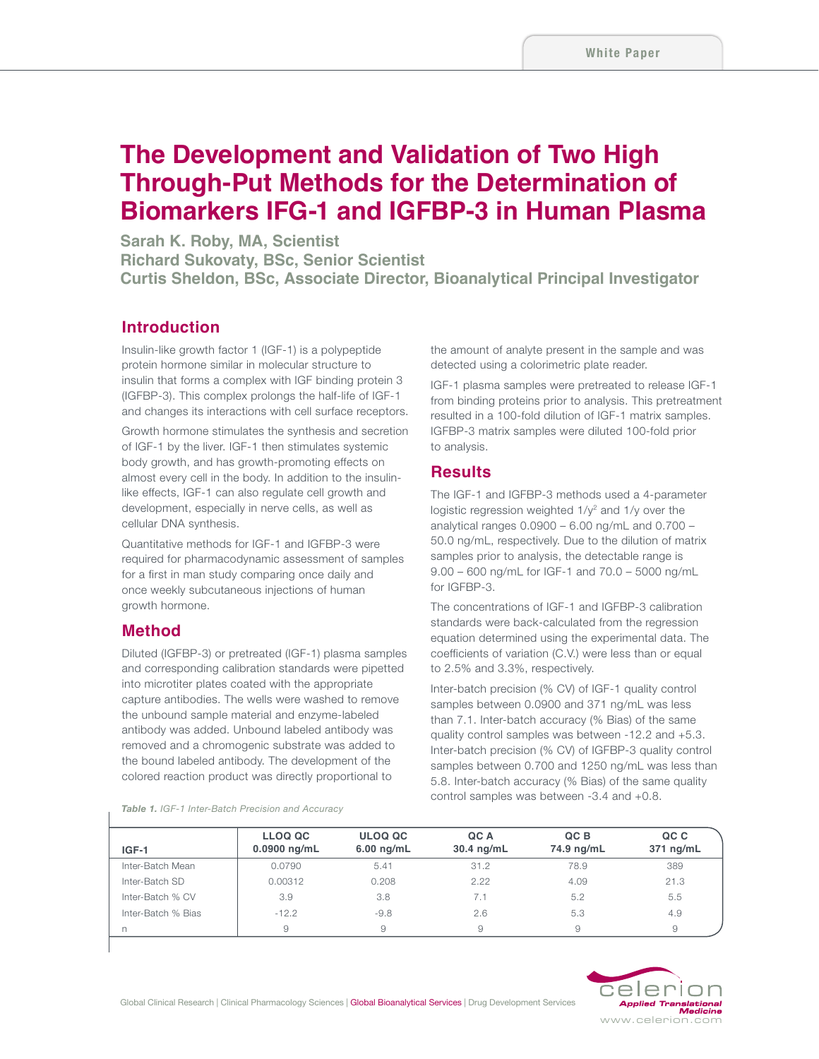# **The Development and Validation of Two High Through-Put Methods for the Determination of Biomarkers IFG-1 and IGFBP-3 in Human Plasma**

**Sarah K. Roby, MA, Scientist Richard Sukovaty, BSc, Senior Scientist Curtis Sheldon, BSc, Associate Director, Bioanalytical Principal Investigator**

### **Introduction**

Insulin-like growth factor 1 (IGF-1) is a polypeptide protein hormone similar in molecular structure to insulin that forms a complex with IGF binding protein 3 (IGFBP-3). This complex prolongs the half-life of IGF-1 and changes its interactions with cell surface receptors.

Growth hormone stimulates the synthesis and secretion of IGF-1 by the liver. IGF-1 then stimulates systemic body growth, and has growth-promoting effects on almost every cell in the body. In addition to the insulinlike effects, IGF-1 can also regulate cell growth and development, especially in nerve cells, as well as cellular DNA synthesis.

Quantitative methods for IGF-1 and IGFBP-3 were required for pharmacodynamic assessment of samples for a first in man study comparing once daily and once weekly subcutaneous injections of human growth hormone.

#### **Method**

Diluted (IGFBP-3) or pretreated (IGF-1) plasma samples and corresponding calibration standards were pipetted into microtiter plates coated with the appropriate capture antibodies. The wells were washed to remove the unbound sample material and enzyme-labeled antibody was added. Unbound labeled antibody was removed and a chromogenic substrate was added to the bound labeled antibody. The development of the colored reaction product was directly proportional to

the amount of analyte present in the sample and was detected using a colorimetric plate reader.

IGF-1 plasma samples were pretreated to release IGF-1 from binding proteins prior to analysis. This pretreatment resulted in a 100-fold dilution of IGF-1 matrix samples. IGFBP-3 matrix samples were diluted 100-fold prior to analysis.

#### **Results**

The IGF-1 and IGFBP-3 methods used a 4-parameter logistic regression weighted  $1/y^2$  and  $1/y$  over the analytical ranges  $0.0900 - 6.00$  ng/mL and  $0.700 -$ 50.0 ng/mL, respectively. Due to the dilution of matrix samples prior to analysis, the detectable range is 9.00 – 600 ng/mL for IGF-1 and 70.0 – 5000 ng/mL for IGFBP-3.

The concentrations of IGF-1 and IGFBP-3 calibration standards were back-calculated from the regression equation determined using the experimental data. The coefficients of variation (C.V.) were less than or equal to 2.5% and 3.3%, respectively.

Inter-batch precision (% CV) of IGF-1 quality control samples between 0.0900 and 371 ng/mL was less than 7.1. Inter-batch accuracy (% Bias) of the same quality control samples was between -12.2 and +5.3. Inter-batch precision (% CV) of IGFBP-3 quality control samples between 0.700 and 1250 ng/mL was less than 5.8. Inter-batch accuracy (% Bias) of the same quality control samples was between -3.4 and +0.8.

|  |  |  | <b>Table 1.</b> IGF-1 Inter-Batch Precision and Accuracy |
|--|--|--|----------------------------------------------------------|
|--|--|--|----------------------------------------------------------|

| $IGF-1$            | <b>LLOQ QC</b><br>$0.0900$ ng/mL | <b>ULOQ QC</b><br>$6.00$ ng/mL | QC A<br>$30.4$ ng/mL | QC B<br>74.9 ng/mL | QC C<br>371 ng/mL |
|--------------------|----------------------------------|--------------------------------|----------------------|--------------------|-------------------|
| Inter-Batch Mean   | 0.0790                           | 5.41                           | 31.2                 | 78.9               | 389               |
| Inter-Batch SD     | 0.00312                          | 0.208                          | 2.22                 | 4.09               | 21.3              |
| Inter-Batch % CV   | 3.9                              | 3.8                            | 7.1                  | 5.2                | 5.5               |
| Inter-Batch % Bias | $-12.2$                          | $-9.8$                         | 2.6                  | 5.3                | 4.9               |
|                    | 9                                |                                |                      |                    | 9                 |

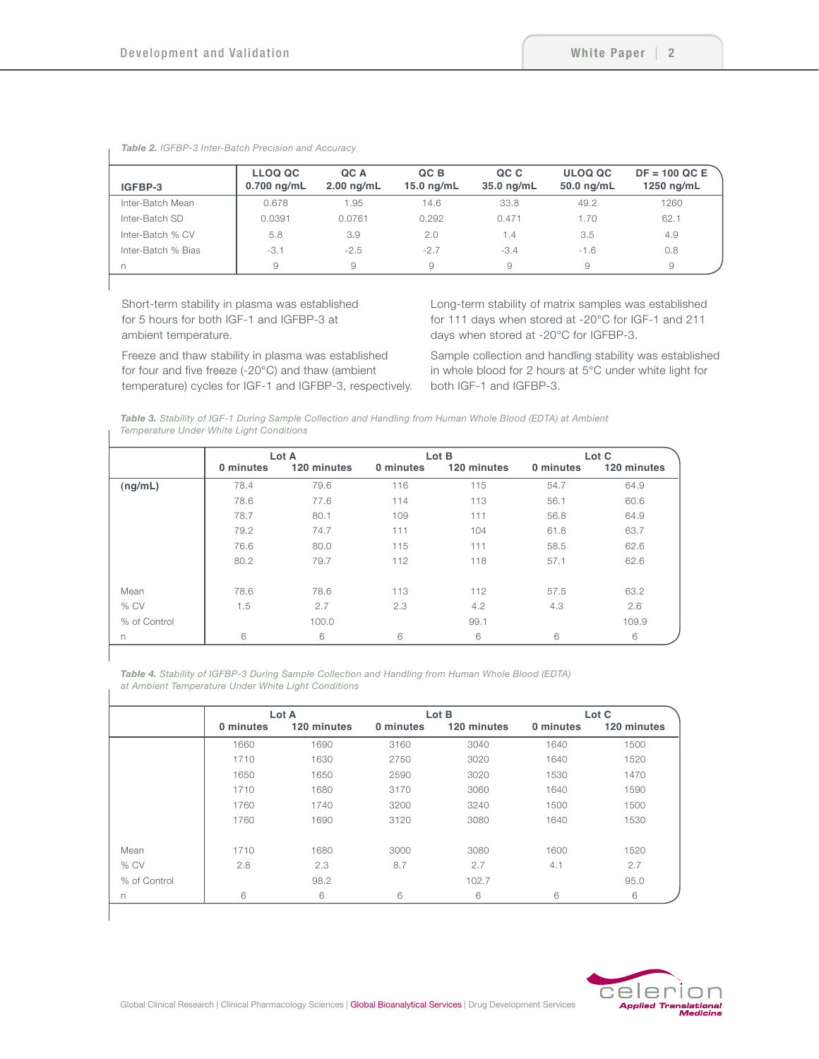| IGFBP-3            | <b>LLOQ QC</b><br>$0.700$ ng/mL | QC A<br>$2.00$ ng/mL | QC B<br>$15.0$ ng/mL | QC C<br>35.0 ng/mL | <b>ULOQ QC</b><br>50.0 ng/mL | $DF = 100$ QC E<br>1250 ng/mL |
|--------------------|---------------------------------|----------------------|----------------------|--------------------|------------------------------|-------------------------------|
| Inter-Batch Mean   | 0.678                           | 1.95                 | 14.6                 | 33.8               | 49.2                         | 1260                          |
| Inter-Batch SD     | 0.0391                          | 0.0761               | 0.292                | 0.471              | 1.70                         | 62.1                          |
| Inter-Batch % CV   | 5.8                             | 3.9                  | 2.0                  | 1.4                | 3.5                          | 4.9                           |
| Inter-Batch % Bias | $-3.1$                          | $-2.5$               | $-2.7$               | $-3.4$             | $-1.6$                       | 0.8                           |
| n                  | 9                               | 9                    | 9                    | 9                  | 9                            | 9                             |

*Table 2. IGFBP-3 Inter-Batch Precision and Accuracy*

Short-term stability in plasma was established for 5 hours for both IGF-1 and IGFBP-3 at ambient temperature.

Freeze and thaw stability in plasma was established for four and five freeze (-20°C) and thaw (ambient temperature) cycles for IGF-1 and IGFBP-3, respectively. Long-term stability of matrix samples was established for 111 days when stored at -20°C for IGF-1 and 211 days when stored at -20°C for IGFBP-3.

Sample collection and handling stability was established in whole blood for 2 hours at 5°C under white light for both IGF-1 and IGFBP-3.

*Table 3. Stability of IGF-1 During Sample Collection and Handling from Human Whole Blood (EDTA) at Ambient Temperature Under White Light Conditions*

|              | Lot A     |             |           | Lot B       | Lot C     |             |  |
|--------------|-----------|-------------|-----------|-------------|-----------|-------------|--|
|              | 0 minutes | 120 minutes | 0 minutes | 120 minutes | 0 minutes | 120 minutes |  |
| (ng/mL)      | 78.4      | 79.6        | 116       | 115         | 54.7      | 64.9        |  |
|              | 78.6      | 77.6        | 114       | 113         | 56.1      | 60.6        |  |
|              | 78.7      | 80.1        | 109       | 111         | 56.8      | 64.9        |  |
|              | 79.2      | 74.7        | 111       | 104         | 61.8      | 63.7        |  |
|              | 76.6      | 80.0        | 115       | 111         | 58.5      | 62.6        |  |
|              | 80.2      | 79.7        | 112       | 118         | 57.1      | 62.6        |  |
| Mean         | 78.6      | 78.6        | 113       | 112         | 57.5      | 63.2        |  |
| % CV         | 1.5       | 2.7         | 2.3       | 4.2         | 4.3       | 2.6         |  |
| % of Control |           | 100.0       |           | 99.1        |           | 109.9       |  |
| n            | 6         | 6           | 6         | 6           | 6         | 6           |  |

*Table 4. Stability of IGFBP-3 During Sample Collection and Handling from Human Whole Blood (EDTA) at Ambient Temperature Under White Light Conditions*

|              | Lot A     |             |           | Lot B       | Lot C     |             |
|--------------|-----------|-------------|-----------|-------------|-----------|-------------|
|              | 0 minutes | 120 minutes | 0 minutes | 120 minutes | 0 minutes | 120 minutes |
|              | 1660      | 1690        | 3160      | 3040        | 1640      | 1500        |
|              | 1710      | 1630        | 2750      | 3020        | 1640      | 1520        |
|              | 1650      | 1650        | 2590      | 3020        | 1530      | 1470        |
|              | 1710      | 1680        | 3170      | 3060        | 1640      | 1590        |
|              | 1760      | 1740        | 3200      | 3240        | 1500      | 1500        |
|              | 1760      | 1690        | 3120      | 3080        | 1640      | 1530        |
|              |           |             |           |             |           |             |
| Mean         | 1710      | 1680        | 3000      | 3080        | 1600      | 1520        |
| % CV         | 2.8       | 2.3         | 8.7       | 2.7         | 4.1       | 2.7         |
| % of Control |           | 98.2        |           | 102.7       |           | 95.0        |
| n.           | 6         | 6           | 6         | 6           | 6         | 6           |